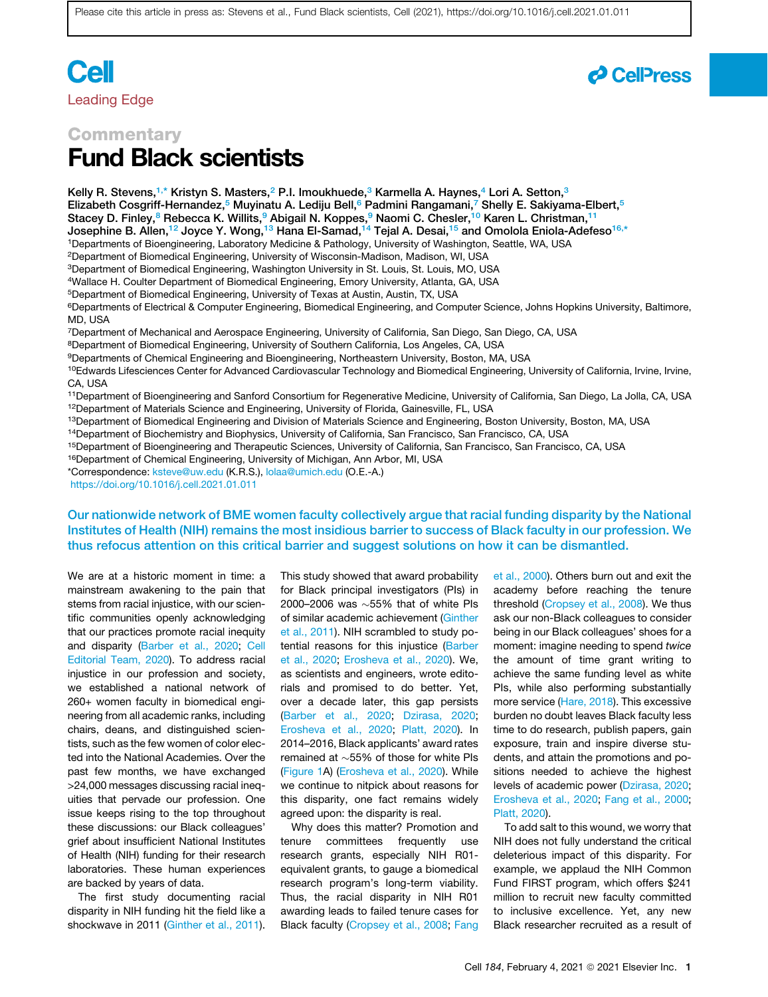# **Cell** Leading Edge



## **Commentary** Fund Black scientists

<span id="page-0-6"></span><span id="page-0-5"></span><span id="page-0-4"></span><span id="page-0-3"></span><span id="page-0-2"></span><span id="page-0-0"></span>Kelly R. Stevens,<sup>[1,](#page-0-0)[\\*](#page-0-1)</sup> Kristyn S. Masters,<sup>[2](#page-0-2)</sup> P.I. Imoukhuede,<sup>[3](#page-0-3)</sup> Karmella A. Haynes,<sup>[4](#page-0-4)</sup> Lori A. Setton,<sup>3</sup> Elizabeth Cosgriff-Hernandez,<sup>[5](#page-0-5)</sup> Muyinatu A. Lediju Bell,<sup>6</sup> Padmini Rangamani,<sup>[7](#page-0-7)</sup> Shelly E. Sakiyama-Elbert,<sup>5</sup> Stacey D. Finley,<sup>[8](#page-0-8)</sup> Rebecca K. Willits,<sup>[9](#page-0-9)</sup> Abigail N. Koppes,<sup>9</sup> Naomi C. Chesler,<sup>10</sup> Karen L. Christman,<sup>[11](#page-0-11)</sup> Josephine B. Allen,<sup>[12](#page-0-12)</sup> Joyce Y. Wong,<sup>[13](#page-0-13)</sup> Hana El-Samad,<sup>[14](#page-0-14)</sup> Tejal A. Desai,<sup>[15](#page-0-15)</sup> and Omolola Eniola-Adefeso<sup>[16,](#page-0-16)[\\*](#page-0-1)</sup> 1Departments of Bioengineering, Laboratory Medicine & Pathology, University of Washington, Seattle, WA, USA 2Department of Biomedical Engineering, University of Wisconsin-Madison, Madison, WI, USA 3Department of Biomedical Engineering, Washington University in St. Louis, St. Louis, MO, USA 4Wallace H. Coulter Department of Biomedical Engineering, Emory University, Atlanta, GA, USA 5Department of Biomedical Engineering, University of Texas at Austin, Austin, TX, USA 6Departments of Electrical & Computer Engineering, Biomedical Engineering, and Computer Science, Johns Hopkins University, Baltimore, MD, USA 7Department of Mechanical and Aerospace Engineering, University of California, San Diego, San Diego, CA, USA 8Department of Biomedical Engineering, University of Southern California, Los Angeles, CA, USA 9Departments of Chemical Engineering and Bioengineering, Northeastern University, Boston, MA, USA <sup>10</sup>Edwards Lifesciences Center for Advanced Cardiovascular Technology and Biomedical Engineering, University of California, Irvine, Irvine, CA, USA 11Department of Bioengineering and Sanford Consortium for Regenerative Medicine, University of California, San Diego, La Jolla, CA, USA <sup>12</sup>Department of Materials Science and Engineering, University of Florida, Gainesville, FL, USA

<span id="page-0-13"></span><span id="page-0-12"></span><span id="page-0-11"></span><span id="page-0-10"></span><span id="page-0-9"></span><span id="page-0-8"></span><span id="page-0-7"></span>13Department of Biomedical Engineering and Division of Materials Science and Engineering, Boston University, Boston, MA, USA

<span id="page-0-14"></span>14Department of Biochemistry and Biophysics, University of California, San Francisco, San Francisco, CA, USA

<span id="page-0-15"></span>15Department of Bioengineering and Therapeutic Sciences, University of California, San Francisco, San Francisco, CA, USA

<span id="page-0-16"></span>16Department of Chemical Engineering, University of Michigan, Ann Arbor, MI, USA

<span id="page-0-1"></span>\*Correspondence: [ksteve@uw.edu](mailto:ksteve@uw.edu) (K.R.S.), [lolaa@umich.edu](mailto:lolaa@umich.edu) (O.E.-A.)

<https://doi.org/10.1016/j.cell.2021.01.011>

Our nationwide network of BME women faculty collectively argue that racial funding disparity by the National Institutes of Health (NIH) remains the most insidious barrier to success of Black faculty in our profession. We thus refocus attention on this critical barrier and suggest solutions on how it can be dismantled.

We are at a historic moment in time: a mainstream awakening to the pain that stems from racial injustice, with our scientific communities openly acknowledging that our practices promote racial inequity and disparity ([Barber et al., 2020](#page-4-0); [Cell](#page-4-1) [Editorial Team, 2020\)](#page-4-1). To address racial injustice in our profession and society, we established a national network of 260+ women faculty in biomedical engineering from all academic ranks, including chairs, deans, and distinguished scientists, such as the few women of color elected into the National Academies. Over the past few months, we have exchanged >24,000 messages discussing racial inequities that pervade our profession. One issue keeps rising to the top throughout these discussions: our Black colleagues' grief about insufficient National Institutes of Health (NIH) funding for their research laboratories. These human experiences are backed by years of data.

The first study documenting racial disparity in NIH funding hit the field like a shockwave in 2011 [\(Ginther et al., 2011\)](#page-4-2). This study showed that award probability for Black principal investigators (PIs) in 2000–2006 was  $\sim$  55% that of white PIs of similar academic achievement [\(Ginther](#page-4-2) [et al., 2011\)](#page-4-2). NIH scrambled to study potential reasons for this injustice [\(Barber](#page-4-0) [et al., 2020;](#page-4-0) [Erosheva et al., 2020](#page-4-3)). We, as scientists and engineers, wrote editorials and promised to do better. Yet, over a decade later, this gap persists ([Barber et al., 2020](#page-4-0); [Dzirasa, 2020](#page-4-4); [Erosheva et al., 2020](#page-4-3); [Platt, 2020](#page-4-5)). In 2014–2016, Black applicants' award rates remained at  $\sim$  55% of those for white PIs ([Figure 1A](#page-1-0)) ([Erosheva et al., 2020\)](#page-4-3). While we continue to nitpick about reasons for this disparity, one fact remains widely agreed upon: the disparity is real.

Why does this matter? Promotion and tenure committees frequently use research grants, especially NIH R01 equivalent grants, to gauge a biomedical research program's long-term viability. Thus, the racial disparity in NIH R01 awarding leads to failed tenure cases for Black faculty ([Cropsey et al., 2008;](#page-4-6) [Fang](#page-4-7) [et al., 2000\)](#page-4-7). Others burn out and exit the academy before reaching the tenure threshold [\(Cropsey et al., 2008\)](#page-4-6). We thus ask our non-Black colleagues to consider being in our Black colleagues' shoes for a moment: imagine needing to spend *twice* the amount of time grant writing to achieve the same funding level as white PIs, while also performing substantially more service ([Hare, 2018\)](#page-4-8). This excessive burden no doubt leaves Black faculty less time to do research, publish papers, gain exposure, train and inspire diverse students, and attain the promotions and positions needed to achieve the highest levels of academic power [\(Dzirasa, 2020;](#page-4-4) [Erosheva et al., 2020;](#page-4-3) [Fang et al., 2000;](#page-4-7) [Platt, 2020](#page-4-5)).

To add salt to this wound, we worry that NIH does not fully understand the critical deleterious impact of this disparity. For example, we applaud the NIH Common Fund FIRST program, which offers \$241 million to recruit new faculty committed to inclusive excellence. Yet, any new Black researcher recruited as a result of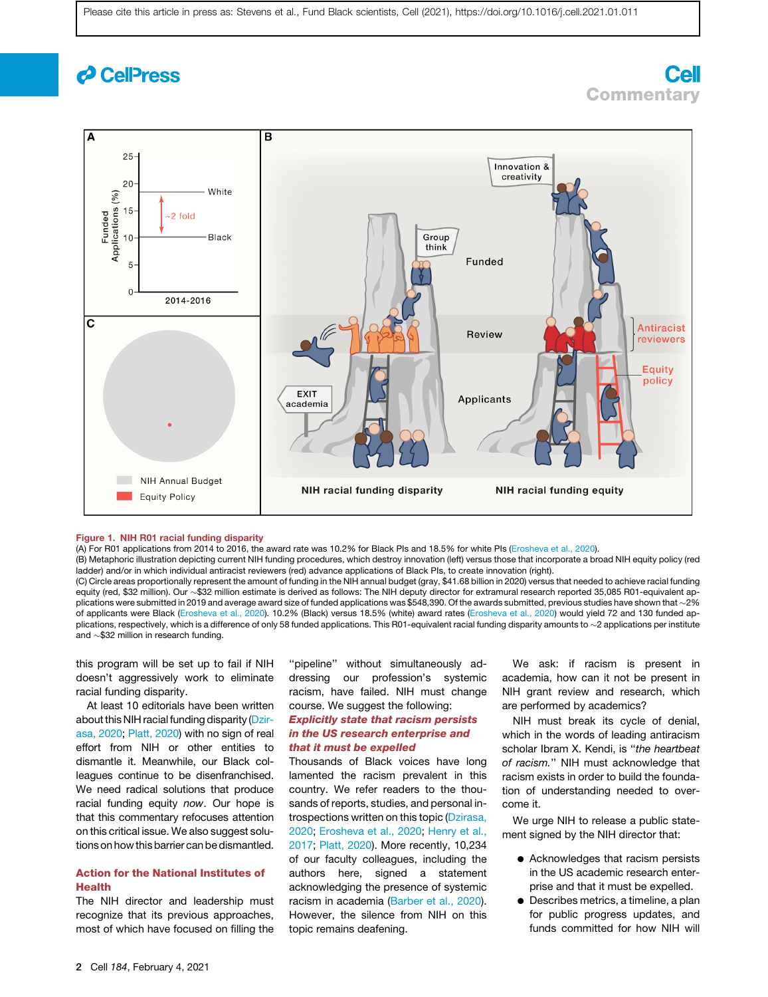## *c* CellPress

## <span id="page-1-0"></span> $\overline{B}$  $25 -$ Innovation & creativity 20 White  $(%)$ Funded<br>Applications (%<br>on d<br>in d<br>in d -2 fold Black Group think **Funded**  $\Omega$ 2014-2016  $\mathbf c$ **Antiracist** Review reviewers Equity policy **FXIT Applicants** academia **NIH Annual Budget NIH racial funding disparity NIH racial funding equity Equity Policy**

### Figure 1. NIH R01 racial funding disparity

(A) For R01 applications from 2014 to 2016, the award rate was 10.2% for Black PIs and 18.5% for white PIs ([Erosheva et al., 2020](#page-4-3)).

(B) Metaphoric illustration depicting current NIH funding procedures, which destroy innovation (left) versus those that incorporate a broad NIH equity policy (red ladder) and/or in which individual antiracist reviewers (red) advance applications of Black PIs, to create innovation (right).

(C) Circle areas proportionally represent the amount of funding in the NIH annual budget (gray, \$41.68 billion in 2020) versus that needed to achieve racial funding equity (red, \$32 million). Our ~\$32 million estimate is derived as follows: The NIH deputy director for extramural research reported 35,085 R01-equivalent applications were submitted in 2019 and average award size of funded applications was \$548,390. Of the awards submitted, previous studies have shown that  ${\sim}2\%$ of applicants were Black ([Erosheva et al., 2020\)](#page-4-3). 10.2% (Black) versus 18.5% (white) award rates [\(Erosheva et al., 2020\)](#page-4-3) would yield 72 and 130 funded applications, respectively, which is a difference of only 58 funded applications. This R01-equivalent racial funding disparity amounts to ~2 applications per institute and  $\sim$ \$32 million in research funding.

this program will be set up to fail if NIH doesn't aggressively work to eliminate racial funding disparity.

At least 10 editorials have been written about this NIH racial funding disparity ([Dzir](#page-4-4)[asa, 2020;](#page-4-4) [Platt, 2020](#page-4-5)) with no sign of real effort from NIH or other entities to dismantle it. Meanwhile, our Black colleagues continue to be disenfranchised. We need radical solutions that produce racial funding equity *now*. Our hope is that this commentary refocuses attention on this critical issue. We also suggest solutions on how this barrier can be dismantled.

### Action for the National Institutes of Health

The NIH director and leadership must recognize that its previous approaches, most of which have focused on filling the

''pipeline'' without simultaneously addressing our profession's systemic racism, have failed. NIH must change course. We suggest the following: Explicitly state that racism persists in the US research enterprise and that it must be expelled Thousands of Black voices have long

lamented the racism prevalent in this country. We refer readers to the thousands of reports, studies, and personal in-trospections written on this topic [\(Dzirasa,](#page-4-4) [2020;](#page-4-4) [Erosheva et al., 2020](#page-4-3); [Henry et al.,](#page-4-9) [2017;](#page-4-9) [Platt, 2020\)](#page-4-5). More recently, 10,234 of our faculty colleagues, including the authors here, signed a statement acknowledging the presence of systemic racism in academia ([Barber et al., 2020\)](#page-4-0). However, the silence from NIH on this topic remains deafening.

We ask: if racism is present in academia, how can it not be present in NIH grant review and research, which are performed by academics?

**Commentary** 

**Cell** 

NIH must break its cycle of denial, which in the words of leading antiracism scholar Ibram X. Kendi, is ''*the heartbeat of racism.*'' NIH must acknowledge that racism exists in order to build the foundation of understanding needed to overcome it.

We urge NIH to release a public statement signed by the NIH director that:

- Acknowledges that racism persists in the US academic research enterprise and that it must be expelled.
- $\bullet$  Describes metrics, a timeline, a plan for public progress updates, and funds committed for how NIH will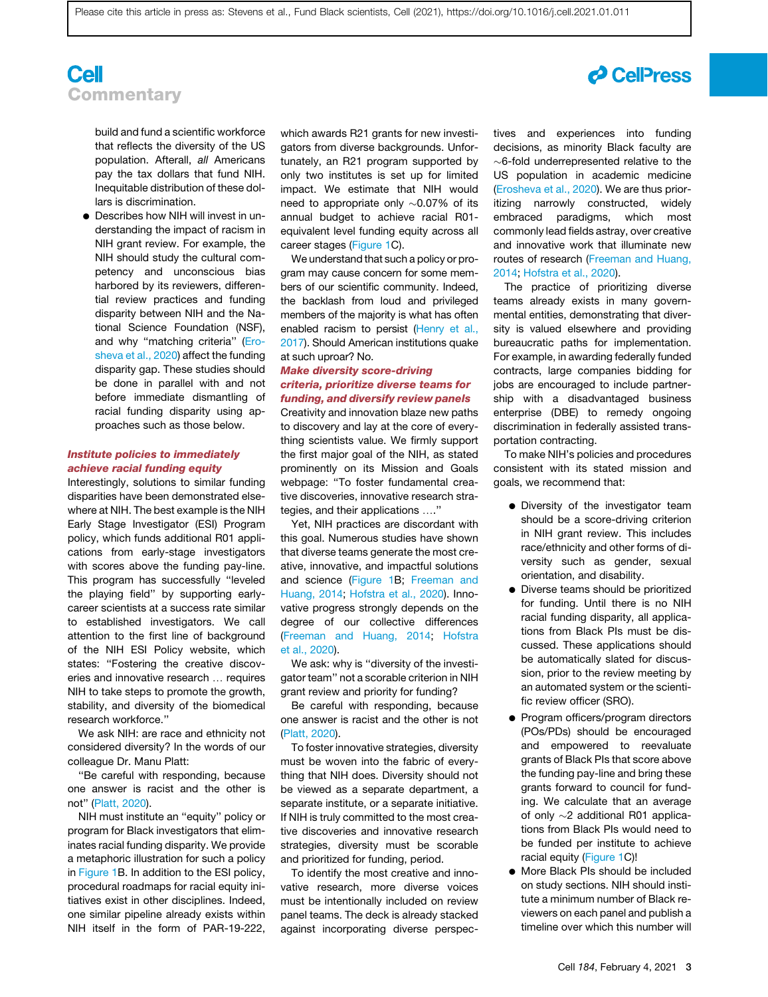## **Cell Commentary**

build and fund a scientific workforce that reflects the diversity of the US population. Afterall, *all* Americans pay the tax dollars that fund NIH. Inequitable distribution of these dollars is discrimination.

• Describes how NIH will invest in understanding the impact of racism in NIH grant review. For example, the NIH should study the cultural competency and unconscious bias harbored by its reviewers, differential review practices and funding disparity between NIH and the National Science Foundation (NSF), and why ''matching criteria'' [\(Ero](#page-4-3)[sheva et al., 2020](#page-4-3)) affect the funding disparity gap. These studies should be done in parallel with and not before immediate dismantling of racial funding disparity using approaches such as those below.

### Institute policies to immediately achieve racial funding equity

Interestingly, solutions to similar funding disparities have been demonstrated elsewhere at NIH. The best example is the NIH Early Stage Investigator (ESI) Program policy, which funds additional R01 applications from early-stage investigators with scores above the funding pay-line. This program has successfully ''leveled the playing field'' by supporting earlycareer scientists at a success rate similar to established investigators. We call attention to the first line of background of the NIH ESI Policy website, which states: "Fostering the creative discoveries and innovative research ... requires NIH to take steps to promote the growth, stability, and diversity of the biomedical research workforce.''

We ask NIH: are race and ethnicity not considered diversity? In the words of our colleague Dr. Manu Platt:

''Be careful with responding, because one answer is racist and the other is not'' [\(Platt, 2020\)](#page-4-5).

NIH must institute an ''equity'' policy or program for Black investigators that eliminates racial funding disparity. We provide a metaphoric illustration for such a policy in [Figure 1](#page-1-0)B. In addition to the ESI policy, procedural roadmaps for racial equity initiatives exist in other disciplines. Indeed, one similar pipeline already exists within NIH itself in the form of PAR-19-222,

which awards R21 grants for new investigators from diverse backgrounds. Unfortunately, an R21 program supported by only two institutes is set up for limited impact. We estimate that NIH would need to appropriate only  $\sim 0.07\%$  of its annual budget to achieve racial R01 equivalent level funding equity across all career stages ([Figure 1](#page-1-0)C).

We understand that such a policy or program may cause concern for some members of our scientific community. Indeed, the backlash from loud and privileged members of the majority is what has often enabled racism to persist [\(Henry et al.,](#page-4-9) [2017\)](#page-4-9). Should American institutions quake at such uproar? No.

## Make diversity score-driving criteria, prioritize diverse teams for funding, and diversify review panels

Creativity and innovation blaze new paths to discovery and lay at the core of everything scientists value. We firmly support the first major goal of the NIH, as stated prominently on its Mission and Goals webpage: ''To foster fundamental creative discoveries, innovative research strategies, and their applications ...."

Yet, NIH practices are discordant with this goal. Numerous studies have shown that diverse teams generate the most creative, innovative, and impactful solutions and science [\(Figure 1B](#page-1-0); [Freeman and](#page-4-10) [Huang, 2014](#page-4-10); [Hofstra et al., 2020\)](#page-4-11). Innovative progress strongly depends on the degree of our collective differences ([Freeman and Huang, 2014](#page-4-10); [Hofstra](#page-4-11) [et al., 2020](#page-4-11)).

We ask: why is ''diversity of the investigator team'' not a scorable criterion in NIH grant review and priority for funding?

Be careful with responding, because one answer is racist and the other is not ([Platt, 2020](#page-4-5)).

To foster innovative strategies, diversity must be woven into the fabric of everything that NIH does. Diversity should not be viewed as a separate department, a separate institute, or a separate initiative. If NIH is truly committed to the most creative discoveries and innovative research strategies, diversity must be scorable and prioritized for funding, period.

To identify the most creative and innovative research, more diverse voices must be intentionally included on review panel teams. The deck is already stacked against incorporating diverse perspectives and experiences into funding decisions, as minority Black faculty are  $\sim$ 6-fold underrepresented relative to the US population in academic medicine [\(Erosheva et al., 2020\)](#page-4-3). We are thus prioritizing narrowly constructed, widely embraced paradigms, which most commonly lead fields astray, over creative and innovative work that illuminate new routes of research ([Freeman and Huang,](#page-4-10) [2014;](#page-4-10) [Hofstra et al., 2020](#page-4-11)).

The practice of prioritizing diverse teams already exists in many governmental entities, demonstrating that diversity is valued elsewhere and providing bureaucratic paths for implementation. For example, in awarding federally funded contracts, large companies bidding for jobs are encouraged to include partnership with a disadvantaged business enterprise (DBE) to remedy ongoing discrimination in federally assisted transportation contracting.

To make NIH's policies and procedures consistent with its stated mission and goals, we recommend that:

- Diversity of the investigator team should be a score-driving criterion in NIH grant review. This includes race/ethnicity and other forms of diversity such as gender, sexual orientation, and disability.
- Diverse teams should be prioritized for funding. Until there is no NIH racial funding disparity, all applications from Black PIs must be discussed. These applications should be automatically slated for discussion, prior to the review meeting by an automated system or the scientific review officer (SRO).
- Program officers/program directors (POs/PDs) should be encouraged and empowered to reevaluate grants of Black PIs that score above the funding pay-line and bring these grants forward to council for funding. We calculate that an average of only  $\sim$ 2 additional R01 applications from Black PIs would need to be funded per institute to achieve racial equity ([Figure 1](#page-1-0)C)!
- More Black PIs should be included on study sections. NIH should institute a minimum number of Black reviewers on each panel and publish a timeline over which this number will

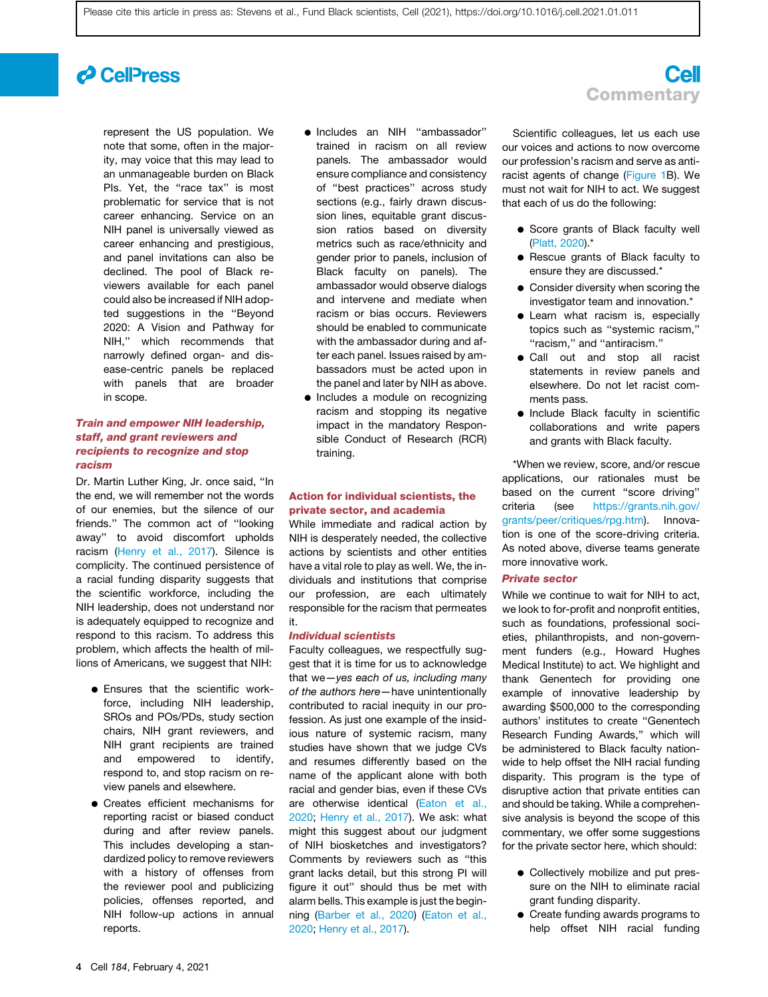## *d* Cell<sup>p</sup>ress

represent the US population. We note that some, often in the majority, may voice that this may lead to an unmanageable burden on Black Pls. Yet, the "race tax" is most problematic for service that is not career enhancing. Service on an NIH panel is universally viewed as career enhancing and prestigious, and panel invitations can also be declined. The pool of Black reviewers available for each panel could also be increased if NIH adopted suggestions in the ''Beyond 2020: A Vision and Pathway for NIH,'' which recommends that narrowly defined organ- and disease-centric panels be replaced with panels that are broader in scope.

## Train and empower NIH leadership, staff, and grant reviewers and recipients to recognize and stop racism

Dr. Martin Luther King, Jr. once said, ''In the end, we will remember not the words of our enemies, but the silence of our friends.'' The common act of ''looking away'' to avoid discomfort upholds racism [\(Henry et al., 2017\)](#page-4-9). Silence is complicity. The continued persistence of a racial funding disparity suggests that the scientific workforce, including the NIH leadership, does not understand nor is adequately equipped to recognize and respond to this racism. To address this problem, which affects the health of millions of Americans, we suggest that NIH:

- **e** Ensures that the scientific workforce, including NIH leadership, SROs and POs/PDs, study section chairs, NIH grant reviewers, and NIH grant recipients are trained and empowered to identify, respond to, and stop racism on review panels and elsewhere.
- d Creates efficient mechanisms for reporting racist or biased conduct during and after review panels. This includes developing a standardized policy to remove reviewers with a history of offenses from the reviewer pool and publicizing policies, offenses reported, and NIH follow-up actions in annual reports.
- d Includes an NIH ''ambassador'' trained in racism on all review panels. The ambassador would ensure compliance and consistency of ''best practices'' across study sections (e.g., fairly drawn discussion lines, equitable grant discussion ratios based on diversity metrics such as race/ethnicity and gender prior to panels, inclusion of Black faculty on panels). The ambassador would observe dialogs and intervene and mediate when racism or bias occurs. Reviewers should be enabled to communicate with the ambassador during and after each panel. Issues raised by ambassadors must be acted upon in the panel and later by NIH as above.
- Includes a module on recognizing racism and stopping its negative impact in the mandatory Responsible Conduct of Research (RCR) training.

### Action for individual scientists, the private sector, and academia

While immediate and radical action by NIH is desperately needed, the collective actions by scientists and other entities have a vital role to play as well. We, the individuals and institutions that comprise our profession, are each ultimately responsible for the racism that permeates it.

#### Individual scientists

Faculty colleagues, we respectfully suggest that it is time for us to acknowledge that we—*yes each of us, including many of the authors here—*have unintentionally contributed to racial inequity in our profession. As just one example of the insidious nature of systemic racism, many studies have shown that we judge CVs and resumes differently based on the name of the applicant alone with both racial and gender bias, even if these CVs are otherwise identical [\(Eaton et al.,](#page-4-12) [2020;](#page-4-12) [Henry et al., 2017](#page-4-9)). We ask: what might this suggest about our judgment of NIH biosketches and investigators? Comments by reviewers such as ''this grant lacks detail, but this strong PI will figure it out'' should thus be met with alarm bells. This example is just the beginning ([Barber et al., 2020](#page-4-0)) ([Eaton et al.,](#page-4-12) [2020;](#page-4-12) [Henry et al., 2017](#page-4-9)).

## **Cell Commentary**

Scientific colleagues, let us each use our voices and actions to now overcome our profession's racism and serve as antiracist agents of change ([Figure 1B](#page-1-0)). We must not wait for NIH to act. We suggest that each of us do the following:

- Score grants of Black faculty well [\(Platt, 2020\)](#page-4-5).\*
- d Rescue grants of Black faculty to ensure they are discussed.\*
- **Consider diversity when scoring the** investigator team and innovation.\*
- Learn what racism is, especially topics such as ''systemic racism,'' ''racism,'' and ''antiracism.''
- d Call out and stop all racist statements in review panels and elsewhere. Do not let racist comments pass.
- d Include Black faculty in scientific collaborations and write papers and grants with Black faculty.

\*When we review, score, and/or rescue applications, our rationales must be based on the current "score driving" criteria (see [https://grants.nih.gov/](https://grants.nih.gov/grants/peer/critiques/rpg.htm) [grants/peer/critiques/rpg.htm\)](https://grants.nih.gov/grants/peer/critiques/rpg.htm). Innovation is one of the score-driving criteria. As noted above, diverse teams generate more innovative work.

### Private sector

While we continue to wait for NIH to act, we look to for-profit and nonprofit entities, such as foundations, professional societies, philanthropists, and non-government funders (e.g., Howard Hughes Medical Institute) to act. We highlight and thank Genentech for providing one example of innovative leadership by awarding \$500,000 to the corresponding authors' institutes to create ''Genentech Research Funding Awards,'' which will be administered to Black faculty nationwide to help offset the NIH racial funding disparity. This program is the type of disruptive action that private entities can and should be taking. While a comprehensive analysis is beyond the scope of this commentary, we offer some suggestions for the private sector here, which should:

- Collectively mobilize and put pressure on the NIH to eliminate racial grant funding disparity.
- Create funding awards programs to help offset NIH racial funding